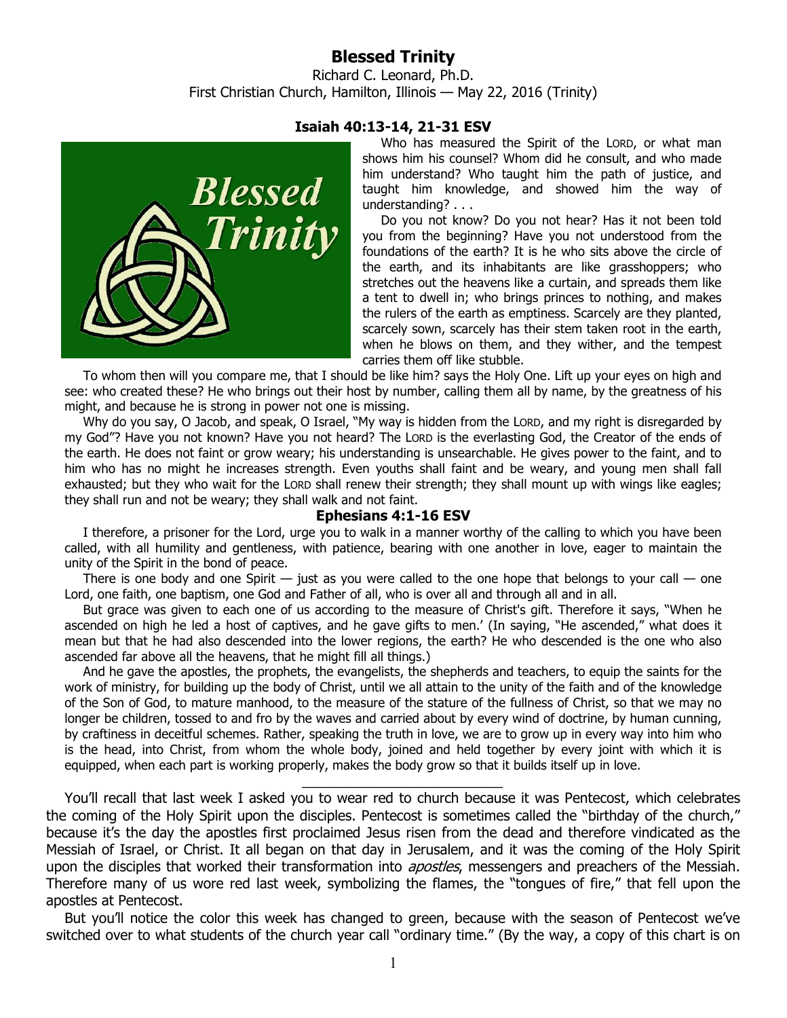## **Blessed Trinity**

Richard C. Leonard, Ph.D. First Christian Church, Hamilton, Illinois — May 22, 2016 (Trinity)



## **Isaiah 40:13-14, 21-31 ESV**

Who has measured the Spirit of the LORD, or what man shows him his counsel? Whom did he consult, and who made him understand? Who taught him the path of justice, and taught him knowledge, and showed him the way of understanding? . . .

Do you not know? Do you not hear? Has it not been told you from the beginning? Have you not understood from the foundations of the earth? It is he who sits above the circle of the earth, and its inhabitants are like grasshoppers; who stretches out the heavens like a curtain, and spreads them like a tent to dwell in; who brings princes to nothing, and makes the rulers of the earth as emptiness. Scarcely are they planted, scarcely sown, scarcely has their stem taken root in the earth, when he blows on them, and they wither, and the tempest carries them off like stubble.

To whom then will you compare me, that I should be like him? says the Holy One. Lift up your eyes on high and see: who created these? He who brings out their host by number, calling them all by name, by the greatness of his might, and because he is strong in power not one is missing.

Why do you say, O Jacob, and speak, O Israel, "My way is hidden from the LORD, and my right is disregarded by my God"? Have you not known? Have you not heard? The LORD is the everlasting God, the Creator of the ends of the earth. He does not faint or grow weary; his understanding is unsearchable. He gives power to the faint, and to him who has no might he increases strength. Even youths shall faint and be weary, and young men shall fall exhausted; but they who wait for the LORD shall renew their strength; they shall mount up with wings like eagles; they shall run and not be weary; they shall walk and not faint.

## **Ephesians 4:1-16 ESV**

I therefore, a prisoner for the Lord, urge you to walk in a manner worthy of the calling to which you have been called, with all humility and gentleness, with patience, bearing with one another in love, eager to maintain the unity of the Spirit in the bond of peace.

There is one body and one Spirit  $-$  just as you were called to the one hope that belongs to your call  $-$  one Lord, one faith, one baptism, one God and Father of all, who is over all and through all and in all.

But grace was given to each one of us according to the measure of Christ's gift. Therefore it says, "When he ascended on high he led a host of captives, and he gave gifts to men.' (In saying, "He ascended," what does it mean but that he had also descended into the lower regions, the earth? He who descended is the one who also ascended far above all the heavens, that he might fill all things.)

And he gave the apostles, the prophets, the evangelists, the shepherds and teachers, to equip the saints for the work of ministry, for building up the body of Christ, until we all attain to the unity of the faith and of the knowledge of the Son of God, to mature manhood, to the measure of the stature of the fullness of Christ, so that we may no longer be children, tossed to and fro by the waves and carried about by every wind of doctrine, by human cunning, by craftiness in deceitful schemes. Rather, speaking the truth in love, we are to grow up in every way into him who is the head, into Christ, from whom the whole body, joined and held together by every joint with which it is equipped, when each part is working properly, makes the body grow so that it builds itself up in love.

You'll recall that last week I asked you to wear red to church because it was Pentecost, which celebrates the coming of the Holy Spirit upon the disciples. Pentecost is sometimes called the "birthday of the church," because it's the day the apostles first proclaimed Jesus risen from the dead and therefore vindicated as the Messiah of Israel, or Christ. It all began on that day in Jerusalem, and it was the coming of the Holy Spirit upon the disciples that worked their transformation into *apostles*, messengers and preachers of the Messiah. Therefore many of us wore red last week, symbolizing the flames, the "tongues of fire," that fell upon the apostles at Pentecost.

\_\_\_\_\_\_\_\_\_\_\_\_\_\_\_\_\_\_\_\_\_\_\_\_\_\_

But you'll notice the color this week has changed to green, because with the season of Pentecost we've switched over to what students of the church year call "ordinary time." (By the way, a copy of this chart is on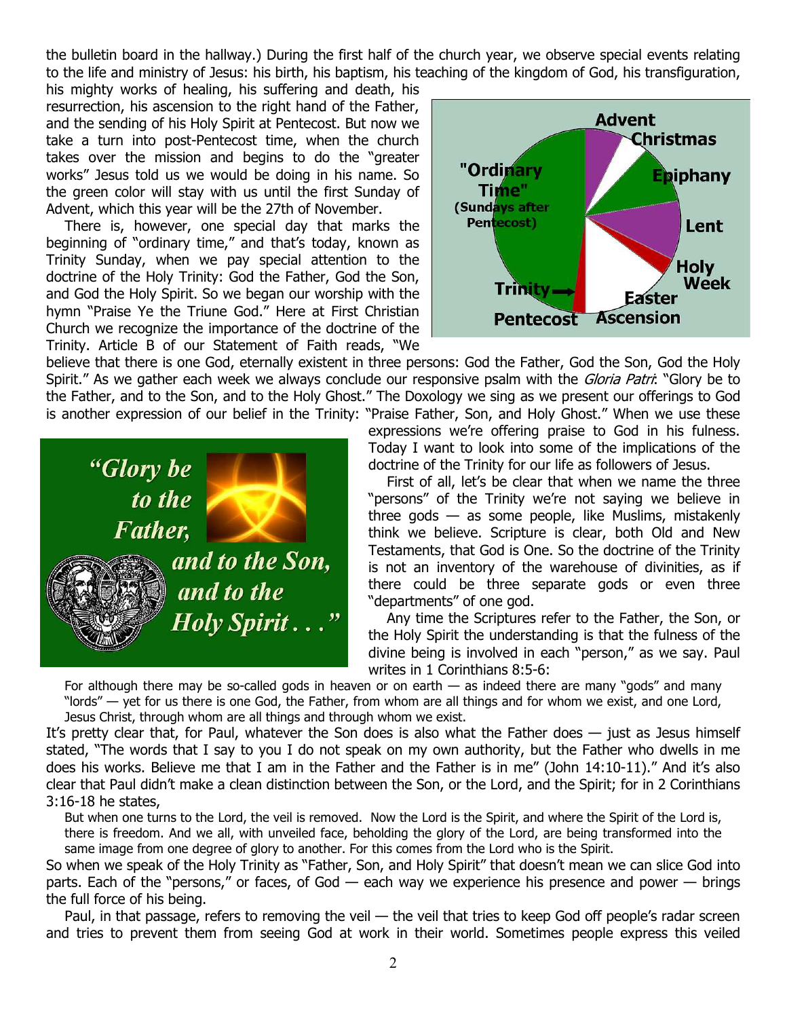the bulletin board in the hallway.) During the first half of the church year, we observe special events relating to the life and ministry of Jesus: his birth, his baptism, his teaching of the kingdom of God, his transfiguration,

his mighty works of healing, his suffering and death, his resurrection, his ascension to the right hand of the Father, and the sending of his Holy Spirit at Pentecost. But now we take a turn into post-Pentecost time, when the church takes over the mission and begins to do the "greater works" Jesus told us we would be doing in his name. So the green color will stay with us until the first Sunday of Advent, which this year will be the 27th of November.

There is, however, one special day that marks the beginning of "ordinary time," and that's today, known as Trinity Sunday, when we pay special attention to the doctrine of the Holy Trinity: God the Father, God the Son, and God the Holy Spirit. So we began our worship with the hymn "Praise Ye the Triune God." Here at First Christian Church we recognize the importance of the doctrine of the Trinity. Article B of our Statement of Faith reads, "We



believe that there is one God, eternally existent in three persons: God the Father, God the Son, God the Holy Spirit." As we gather each week we always conclude our responsive psalm with the *Gloria Patri*: "Glory be to the Father, and to the Son, and to the Holy Ghost." The Doxology we sing as we present our offerings to God is another expression of our belief in the Trinity: "Praise Father, Son, and Holy Ghost." When we use these



expressions we're offering praise to God in his fulness. Today I want to look into some of the implications of the doctrine of the Trinity for our life as followers of Jesus.

First of all, let's be clear that when we name the three "persons" of the Trinity we're not saying we believe in three gods  $-$  as some people, like Muslims, mistakenly think we believe. Scripture is clear, both Old and New Testaments, that God is One. So the doctrine of the Trinity is not an inventory of the warehouse of divinities, as if there could be three separate gods or even three "departments" of one god.

Any time the Scriptures refer to the Father, the Son, or the Holy Spirit the understanding is that the fulness of the divine being is involved in each "person," as we say. Paul writes in 1 Corinthians 8:5-6:

For although there may be so-called gods in heaven or on earth — as indeed there are many "gods" and many "lords" — yet for us there is one God, the Father, from whom are all things and for whom we exist, and one Lord, Jesus Christ, through whom are all things and through whom we exist.

It's pretty clear that, for Paul, whatever the Son does is also what the Father does — just as Jesus himself stated, "The words that I say to you I do not speak on my own authority, but the Father who dwells in me does his works. Believe me that I am in the Father and the Father is in me" (John 14:10-11)." And it's also clear that Paul didn't make a clean distinction between the Son, or the Lord, and the Spirit; for in 2 Corinthians 3:16-18 he states,

But when one turns to the Lord, the veil is removed. Now the Lord is the Spirit, and where the Spirit of the Lord is, there is freedom. And we all, with unveiled face, beholding the glory of the Lord, are being transformed into the same image from one degree of glory to another. For this comes from the Lord who is the Spirit.

So when we speak of the Holy Trinity as "Father, Son, and Holy Spirit" that doesn't mean we can slice God into parts. Each of the "persons," or faces, of God  $-$  each way we experience his presence and power  $-$  brings the full force of his being.

Paul, in that passage, refers to removing the veil — the veil that tries to keep God off people's radar screen and tries to prevent them from seeing God at work in their world. Sometimes people express this veiled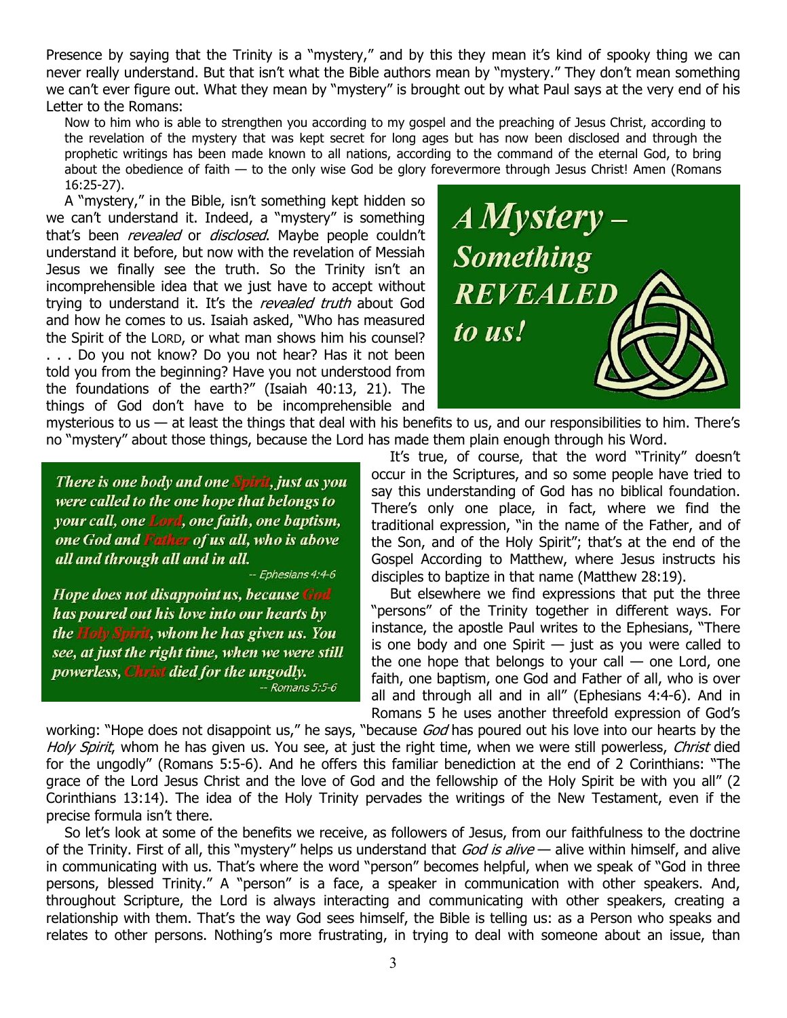Presence by saying that the Trinity is a "mystery," and by this they mean it's kind of spooky thing we can never really understand. But that isn't what the Bible authors mean by "mystery." They don't mean something we can't ever figure out. What they mean by "mystery" is brought out by what Paul says at the very end of his Letter to the Romans:

Now to him who is able to strengthen you according to my gospel and the preaching of Jesus Christ, according to the revelation of the mystery that was kept secret for long ages but has now been disclosed and through the prophetic writings has been made known to all nations, according to the command of the eternal God, to bring about the obedience of faith — to the only wise God be glory forevermore through Jesus Christ! Amen (Romans 16:25-27).

A "mystery," in the Bible, isn't something kept hidden so we can't understand it. Indeed, a "mystery" is something that's been *revealed* or *disclosed*. Maybe people couldn't understand it before, but now with the revelation of Messiah Jesus we finally see the truth. So the Trinity isn't an incomprehensible idea that we just have to accept without trying to understand it. It's the revealed truth about God and how he comes to us. Isaiah asked, "Who has measured the Spirit of the LORD, or what man shows him his counsel? . . . Do you not know? Do you not hear? Has it not been told you from the beginning? Have you not understood from the foundations of the earth?" (Isaiah 40:13, 21). The things of God don't have to be incomprehensible and

mysterious to us  $-$  at least the things that deal with his benefits to us, and our responsibilities to him. There's no "mystery" about those things, because the Lord has made them plain enough through his Word.

There is one body and one Spirit, just as you were called to the one hope that belongs to your call, one Lord, one faith, one baptism, one God and Father of us all, who is above all and through all and in all.

-- Ephesians 4:4-6

Hope does not disappoint us, because God has poured out his love into our hearts by the Holy Spirit, whom he has given us. You see, at just the right time, when we were still powerless, Christ died for the ungodly.  $-Romans 5:5-6$ 



It's true, of course, that the word "Trinity" doesn't occur in the Scriptures, and so some people have tried to say this understanding of God has no biblical foundation. There's only one place, in fact, where we find the traditional expression, "in the name of the Father, and of the Son, and of the Holy Spirit"; that's at the end of the Gospel According to Matthew, where Jesus instructs his disciples to baptize in that name (Matthew 28:19).

But elsewhere we find expressions that put the three "persons" of the Trinity together in different ways. For instance, the apostle Paul writes to the Ephesians, "There is one body and one Spirit  $-$  just as you were called to the one hope that belongs to your call  $-$  one Lord, one faith, one baptism, one God and Father of all, who is over all and through all and in all" (Ephesians 4:4-6). And in Romans 5 he uses another threefold expression of God's

working: "Hope does not disappoint us," he says, "because God has poured out his love into our hearts by the Holy Spirit, whom he has given us. You see, at just the right time, when we were still powerless, Christ died for the ungodly" (Romans 5:5-6). And he offers this familiar benediction at the end of 2 Corinthians: "The grace of the Lord Jesus Christ and the love of God and the fellowship of the Holy Spirit be with you all" (2 Corinthians 13:14). The idea of the Holy Trinity pervades the writings of the New Testament, even if the precise formula isn't there.

So let's look at some of the benefits we receive, as followers of Jesus, from our faithfulness to the doctrine of the Trinity. First of all, this "mystery" helps us understand that  $God is alive$  — alive within himself, and alive in communicating with us. That's where the word "person" becomes helpful, when we speak of "God in three persons, blessed Trinity." A "person" is a face, a speaker in communication with other speakers. And, throughout Scripture, the Lord is always interacting and communicating with other speakers, creating a relationship with them. That's the way God sees himself, the Bible is telling us: as a Person who speaks and relates to other persons. Nothing's more frustrating, in trying to deal with someone about an issue, than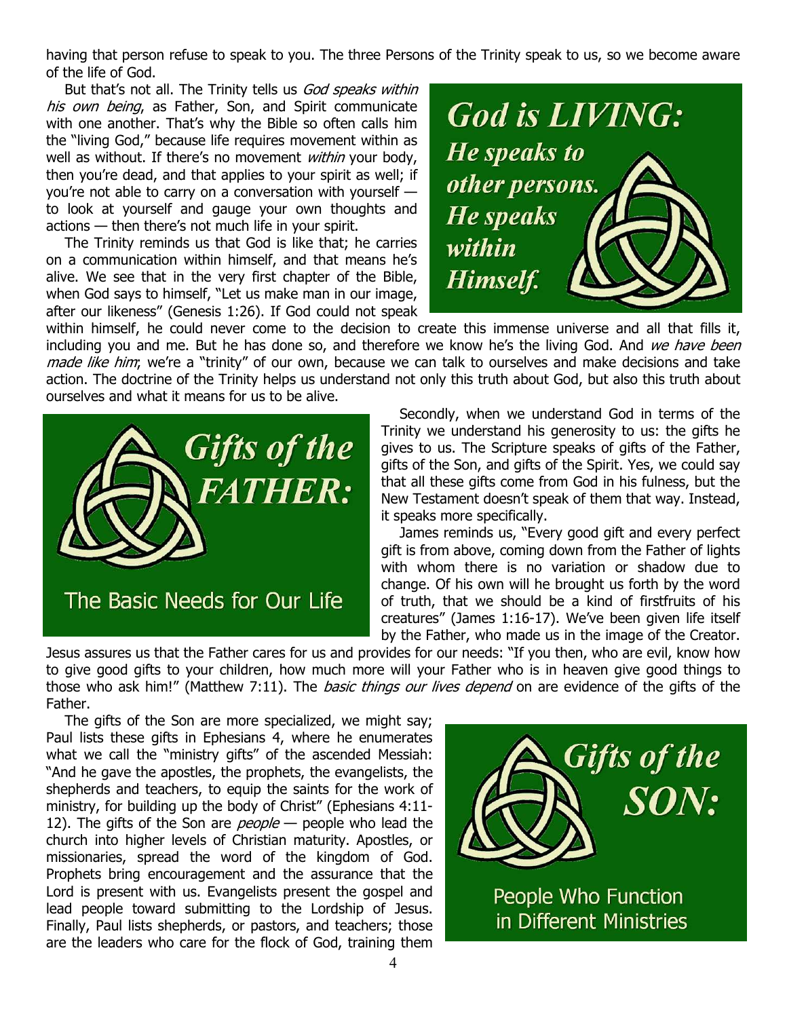having that person refuse to speak to you. The three Persons of the Trinity speak to us, so we become aware of the life of God.

But that's not all. The Trinity tells us God speaks within his own being, as Father, Son, and Spirit communicate with one another. That's why the Bible so often calls him the "living God," because life requires movement within as well as without. If there's no movement within your body, then you're dead, and that applies to your spirit as well; if you're not able to carry on a conversation with yourself to look at yourself and gauge your own thoughts and actions — then there's not much life in your spirit.

The Trinity reminds us that God is like that; he carries on a communication within himself, and that means he's alive. We see that in the very first chapter of the Bible, when God says to himself, "Let us make man in our image, after our likeness" (Genesis 1:26). If God could not speak

**God is LIVING: He speaks to** other persons. **He speaks** within Himself.

within himself, he could never come to the decision to create this immense universe and all that fills it, including you and me. But he has done so, and therefore we know he's the living God. And we have been made like him; we're a "trinity" of our own, because we can talk to ourselves and make decisions and take action. The doctrine of the Trinity helps us understand not only this truth about God, but also this truth about ourselves and what it means for us to be alive.



Secondly, when we understand God in terms of the Trinity we understand his generosity to us: the gifts he gives to us. The Scripture speaks of gifts of the Father, gifts of the Son, and gifts of the Spirit. Yes, we could say that all these gifts come from God in his fulness, but the New Testament doesn't speak of them that way. Instead, it speaks more specifically.

James reminds us, "Every good gift and every perfect gift is from above, coming down from the Father of lights with whom there is no variation or shadow due to change. Of his own will he brought us forth by the word of truth, that we should be a kind of firstfruits of his creatures" (James 1:16-17). We've been given life itself by the Father, who made us in the image of the Creator.

Jesus assures us that the Father cares for us and provides for our needs: "If you then, who are evil, know how to give good gifts to your children, how much more will your Father who is in heaven give good things to those who ask him!" (Matthew 7:11). The *basic things our lives depend* on are evidence of the gifts of the Father.

The gifts of the Son are more specialized, we might say; Paul lists these gifts in Ephesians 4, where he enumerates what we call the "ministry gifts" of the ascended Messiah: "And he gave the apostles, the prophets, the evangelists, the shepherds and teachers, to equip the saints for the work of ministry, for building up the body of Christ" (Ephesians 4:11- 12). The gifts of the Son are *people*  $-$  people who lead the church into higher levels of Christian maturity. Apostles, or missionaries, spread the word of the kingdom of God. Prophets bring encouragement and the assurance that the Lord is present with us. Evangelists present the gospel and lead people toward submitting to the Lordship of Jesus. Finally, Paul lists shepherds, or pastors, and teachers; those are the leaders who care for the flock of God, training them



in Different Ministries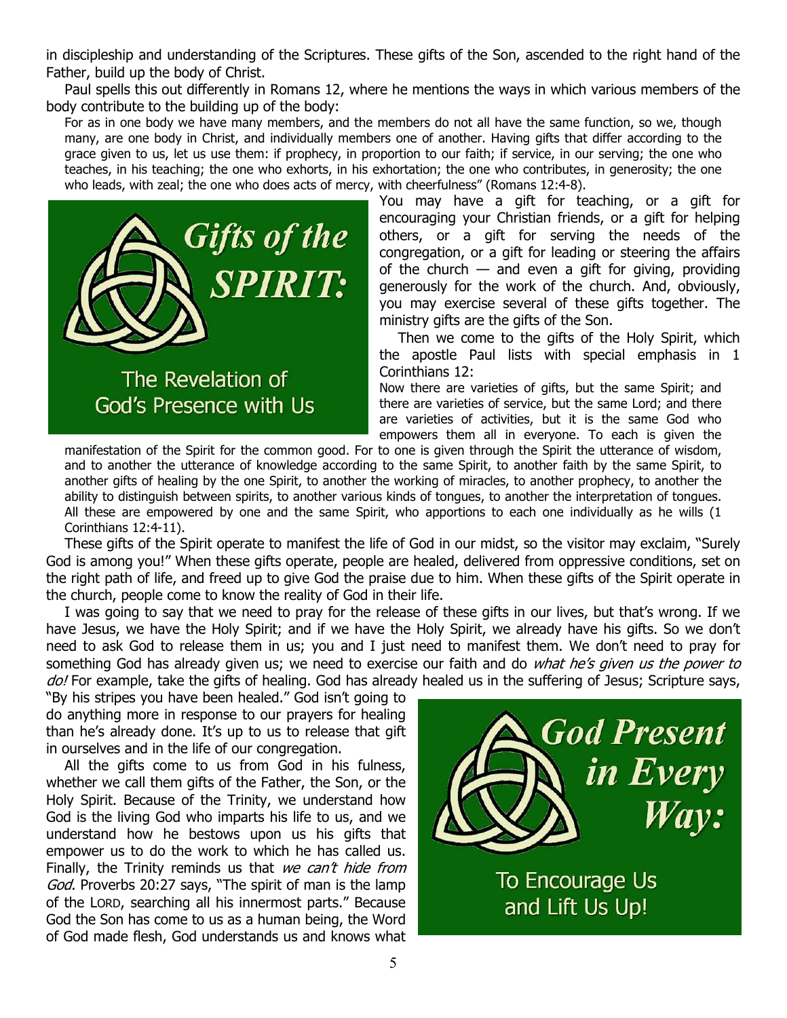in discipleship and understanding of the Scriptures. These gifts of the Son, ascended to the right hand of the Father, build up the body of Christ.

Paul spells this out differently in Romans 12, where he mentions the ways in which various members of the body contribute to the building up of the body:

For as in one body we have many members, and the members do not all have the same function, so we, though many, are one body in Christ, and individually members one of another. Having gifts that differ according to the grace given to us, let us use them: if prophecy, in proportion to our faith; if service, in our serving; the one who teaches, in his teaching; the one who exhorts, in his exhortation; the one who contributes, in generosity; the one who leads, with zeal; the one who does acts of mercy, with cheerfulness" (Romans 12:4-8).



The Revelation of God's Presence with Us

You may have a gift for teaching, or a gift for encouraging your Christian friends, or a gift for helping others, or a gift for serving the needs of the congregation, or a gift for leading or steering the affairs of the church  $-$  and even a gift for giving, providing generously for the work of the church. And, obviously, you may exercise several of these gifts together. The ministry gifts are the gifts of the Son.

Then we come to the gifts of the Holy Spirit, which the apostle Paul lists with special emphasis in 1 Corinthians 12:

Now there are varieties of gifts, but the same Spirit; and there are varieties of service, but the same Lord; and there are varieties of activities, but it is the same God who empowers them all in everyone. To each is given the

manifestation of the Spirit for the common good. For to one is given through the Spirit the utterance of wisdom, and to another the utterance of knowledge according to the same Spirit, to another faith by the same Spirit, to another gifts of healing by the one Spirit, to another the working of miracles, to another prophecy, to another the ability to distinguish between spirits, to another various kinds of tongues, to another the interpretation of tongues. All these are empowered by one and the same Spirit, who apportions to each one individually as he wills (1 Corinthians 12:4-11).

These gifts of the Spirit operate to manifest the life of God in our midst, so the visitor may exclaim, "Surely God is among you!" When these gifts operate, people are healed, delivered from oppressive conditions, set on the right path of life, and freed up to give God the praise due to him. When these gifts of the Spirit operate in the church, people come to know the reality of God in their life.

I was going to say that we need to pray for the release of these gifts in our lives, but that's wrong. If we have Jesus, we have the Holy Spirit; and if we have the Holy Spirit, we already have his gifts. So we don't need to ask God to release them in us; you and I just need to manifest them. We don't need to pray for something God has already given us; we need to exercise our faith and do what he's given us the power to do! For example, take the gifts of healing. God has already healed us in the suffering of Jesus; Scripture says,

"By his stripes you have been healed." God isn't going to do anything more in response to our prayers for healing than he's already done. It's up to us to release that gift in ourselves and in the life of our congregation.

All the gifts come to us from God in his fulness, whether we call them gifts of the Father, the Son, or the Holy Spirit. Because of the Trinity, we understand how God is the living God who imparts his life to us, and we understand how he bestows upon us his gifts that empower us to do the work to which he has called us. Finally, the Trinity reminds us that we can't hide from God. Proverbs 20:27 says, "The spirit of man is the lamp of the LORD, searching all his innermost parts." Because God the Son has come to us as a human being, the Word of God made flesh, God understands us and knows what



To Encourage Us and Lift Us Up!